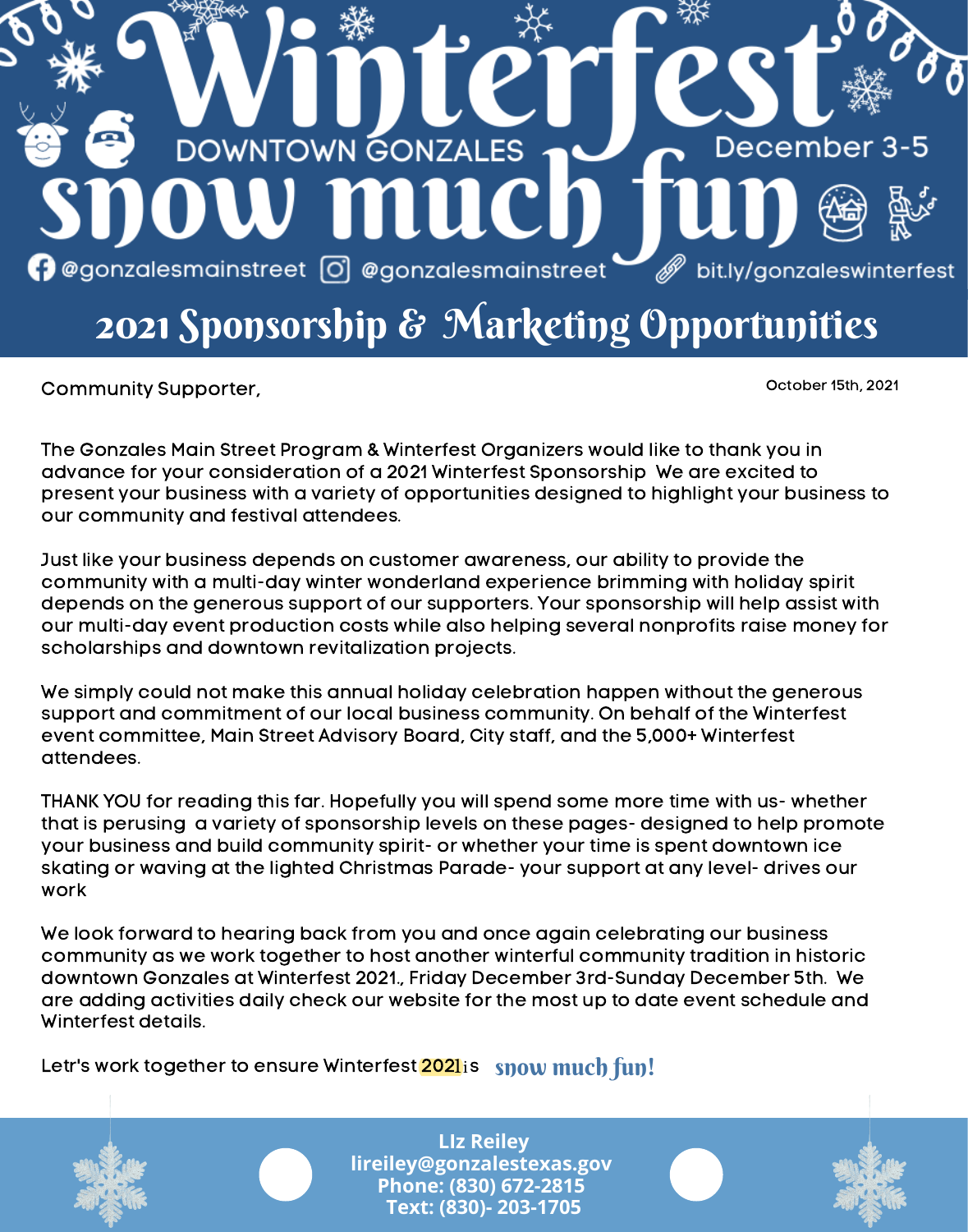

Community Supporter,  $\blacksquare$ 

The Gonzales Main Street Program & Winterfest Organizers would like to thank you in advance for your consideration of a 2021 Winterfest Sponsorship We are excited to present your business with a variety of opportunities designed to highlight your business to our community and festival attendees.

Just like your business depends on customer awareness, our ability to provide the community with a multi-day winter wonderland experience brimming with holiday spirit depends on the generous support of our supporters. Your sponsorship will help assist with our multi-day event production costs while also helping several nonprofits raise money for scholarships and downtown revitalization projects.

We simply could not make this annual holiday celebration happen without the generous support and commitment of our local business community. On behalf of the Winterfest event committee, Main Street Advisory Board, City staff, and the 5,000+ Winterfest attendees.

THANK YOU for reading this far. Hopefully you will spend some more time with us- whether that is perusing a variety of sponsorship levels on these pages- designed to help promote your business and build community spirit- or whether your time is spent downtown ice skating or waving at the lighted Christmas Parade- your support at any level- drives our work

We look forward to hearing back from you and once again celebrating our business community as we work together to host another winterful community tradition in historic downtown Gonzales at Winterfest 2021., Friday December 3rd-Sunday December 5th. We are adding activities daily check our website for the most up to date event schedule and Winterfest details.

Letr's work together to ensure Winterfest <mark>2021</mark> is snow much fun!



**LIz Reiley lireiley@gonzalestexas.gov Phone: (830) 672-2815 Text: (830)- 203-1705**

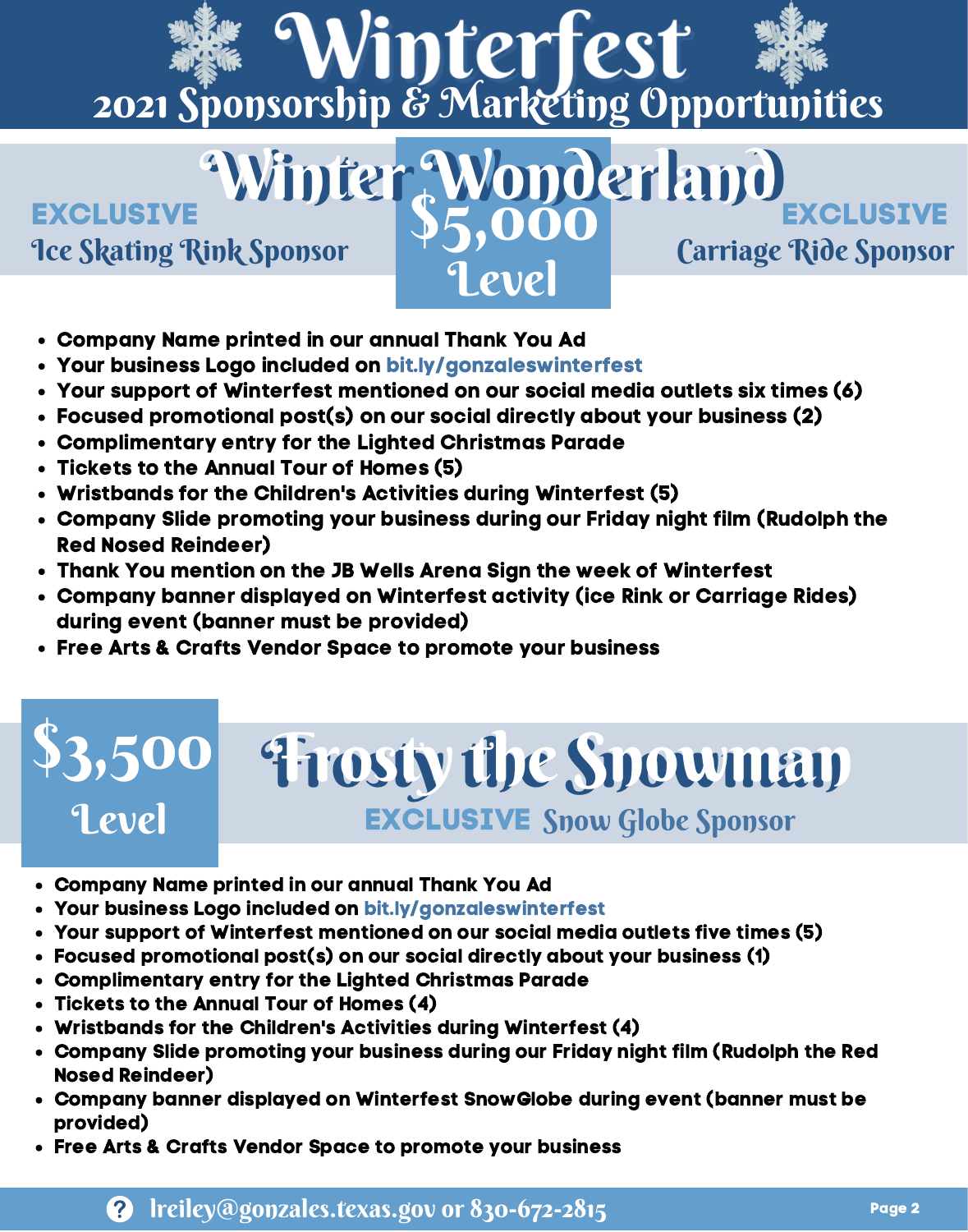# **Winterfest**<br>2021 Sponsorship & Marketing Opportunities

Level

Ice Skating Rink Sponsor Carriage Ride Sponsor Winter Wonderland<br>ink Sponsor \$5,000 Carriage Ride Sponsor **EXCLUSIVE** 

- Company Name printed in our annual Thank You Ad
- Your business Logo included on bit.ly/gonzaleswinterfest
- Your support of Winterfest mentioned on our social media outlets six times (6)
- Focused promotional post(s) on our social directly about your business (2)
- Complimentary entry for the Lighted Christmas Parade
- Tickets to the Annual Tour of Homes (5)
- Wristbands for the Children's Activities during Winterfest (5)
- Company Slide promoting your business during our Friday night film (Rudolph the Red Nosed Reindeer)
- Thank You mention on the JB Wells Arena Sign the week of Winterfest
- Company banner displayed on Winterfest activity (ice Rink or Carriage Rides) during event (banner must be provided)
- Free Arts & Crafts Vendor Space to promote your business

## \$3,500 Frosty the Snowman Frosty the Snowman Level EXCLUSIVE Snow Globe Sponsor

- Company Name printed in our annual Thank You Ad
- Your business Logo included on bit.ly/gonzaleswinterfest
- Your support of Winterfest mentioned on our social media outlets five times (5)
- Focused promotional post(s) on our social directly about your business (1)
- Complimentary entry for the Lighted Christmas Parade
- Tickets to the Annual Tour of Homes (4)
- Wristbands for the Children's Activities during Winterfest (4)
- Company Slide promoting your business during our Friday night film (Rudolph the Red Nosed Reindeer)
- Company banner displayed on Winterfest SnowGlobe during event (banner must be provided)
- Free Arts & Crafts Vendor Space to promote your business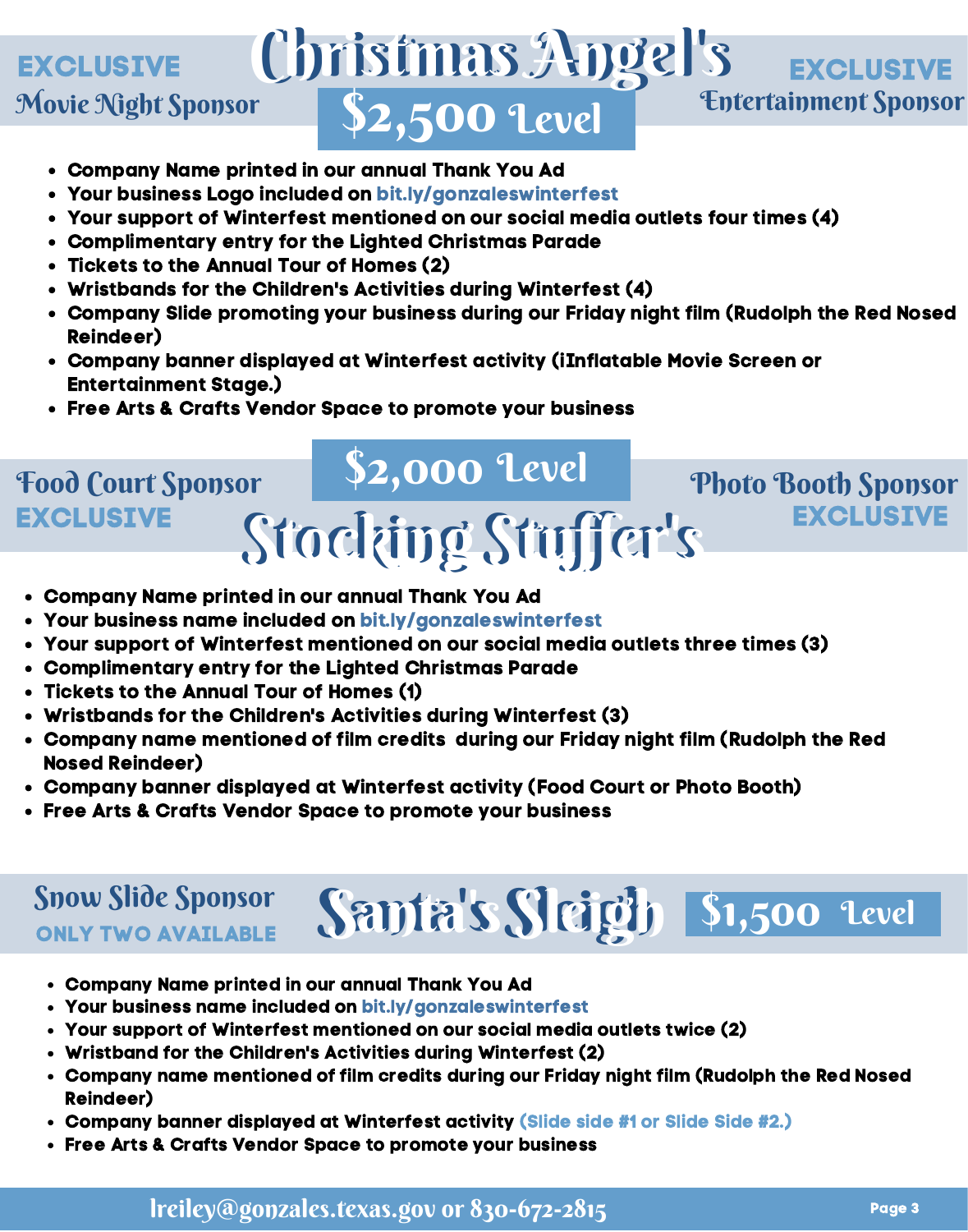#### $2,500$  'Level Christmas Angel's Christmas Angel's Movie Night Sponsor **Entertainment Sponsor** EXCLUSIVE **EXCLUSIVE** \$2,500 Level

- Company Name printed in our annual Thank You Ad
- Your business Logo included on bit.ly/gonzaleswinterfest
- Your support of Winterfest mentioned on our social media outlets four times (4)
- Complimentary entry for the Lighted Christmas Parade
- Tickets to the Annual Tour of Homes (2)
- Wristbands for the Children's Activities during Winterfest (4)
- Company Slide promoting your business during our Friday night film (Rudolph the Red Nosed Reindeer)
- Company banner displayed at Winterfest activity (iInflatable Movie Screen or Entertainment Stage.)
- Free Arts & Crafts Vendor Space to promote your business

#### Stocking Stuffer's Stocking Stuffer's **EXCLUSIVE** \$2,000 Level Food Court Sponsor Paul Photo Booth Sponsor **EXCLUSIVE**

- Company Name printed in our annual Thank You Ad
- Your business name included on bit.ly/gonzaleswinterfest
- Your support of Winterfest mentioned on our social media outlets three times (3)
- Complimentary entry for the Lighted Christmas Parade
- Tickets to the Annual Tour of Homes (1)
- Wristbands for the Children's Activities during Winterfest (3)
- Company name mentioned of film credits during our Friday night film (Rudolph the Red Nosed Reindeer)
- Nosed Reindeer*)*<br>Company banner displayed at Winterfest activity (Food Court or Photo Booth)
- Free Arts & Crafts Vendor Space to promote your business

#### ONLY TWO AVAILABLE Snow Slide Sponsor

- Company Name printed in our annual Thank You Ad
- Your business name included on bit.ly/gonzaleswinterfest
- Your support of Winterfest mentioned on our social media outlets twice (2)
- Wristband for the Children's Activities during Winterfest (2)
- Company name mentioned of film credits during our Friday night film (Rudolph the Red Nosed Reindeer)

Santa's Sleigh \$1,500 Level

- Company banner displayed at Winterfest activity (Slide side #1 or Slide Side #2.)
- Free Arts & Crafts Vendor Space to promote your business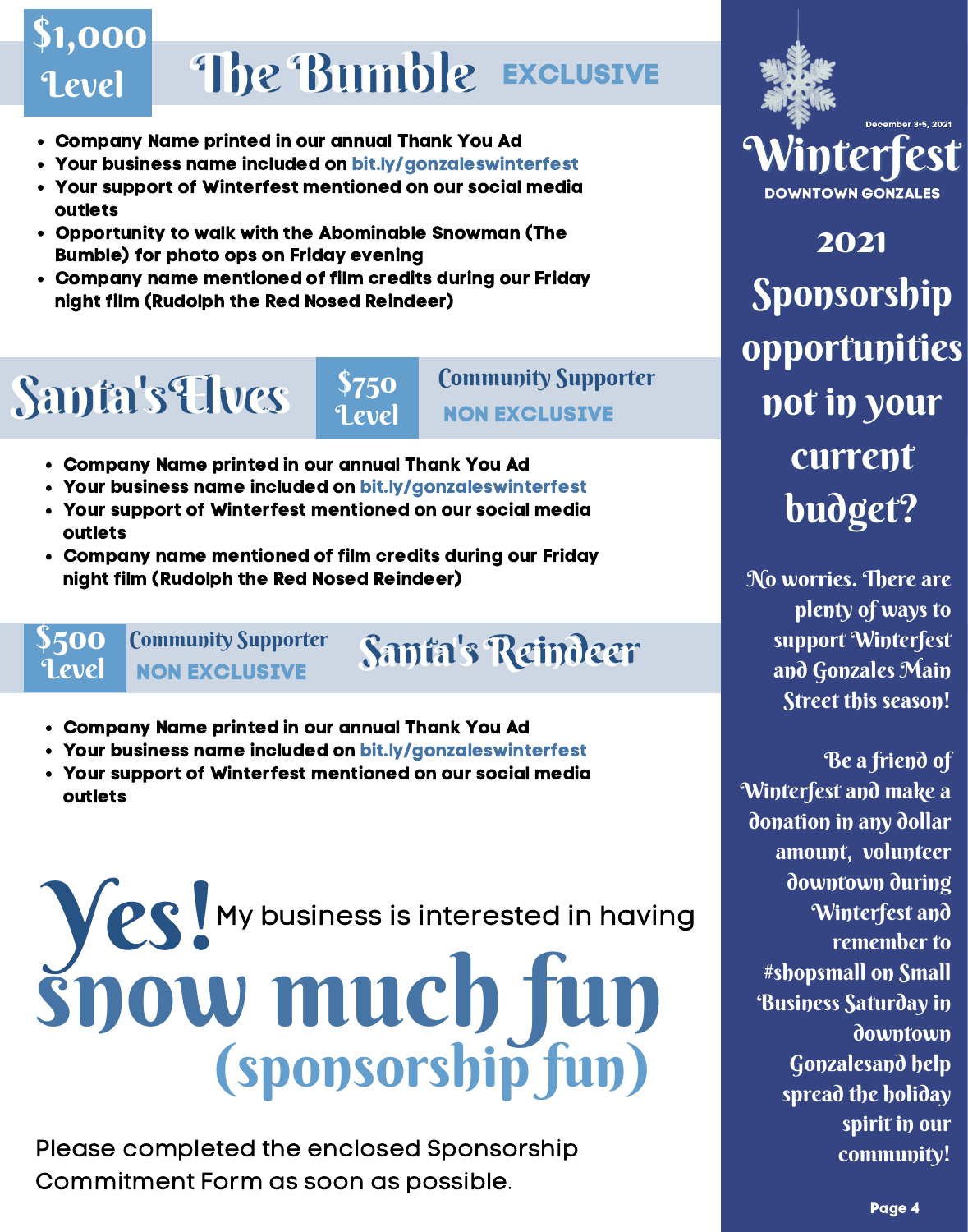### Level The Bumble Exclusive \$1,000

- Company Name printed in our annual Thank You Ad
- Your business name included on bit.ly/gonzaleswinterfest
- Your support of Winterfest mentioned on our social media outlets
- Opportunity to walk with the Abominable Snowman (The Bumble) for photo ops on Friday evening
- Company name mentioned of film credits during our Friday night film (Rudolph the Red Nosed Reindeer)

### Santa's Elves

### \$750<br>Level

#### Community Supporter NON EXCLUSIVE

- Company Name printed in our annual Thank You Ad
- Your business name included on bit.ly/gonzaleswinterfest
- Your support of Winterfest mentioned on our social media outlets
- Company name mentioned of film credits during our Friday night film (Rudolph the Red Nosed Reindeer)

#### **\$500<br>Level** Community Supporter NON EXCLUSIVE

### Santa's Reindeer

- Company Name printed in our annual Thank You Ad
- Your business name included on bit.ly/gonzaleswinterfest
- Your support of Winterfest mentioned on our social media outlets

# Yes! My business is interested in having (sponsorship fun) snow much fun

Please completed the enclosed Sponsorship Commitment Form as soon as possible.



2021 Sponsorship opportunities not in your current budget?

No worries. There are plenty of ways to support Winterfest and Gonzales Main Street this season!

Be a friend of Winterfest and make a donation in any dollar amount, volunteer downtown during Winterfest and remember to #shopsmall on Small Business Saturday in downtown Gonzalesand help spread the holiday spirit in our community!